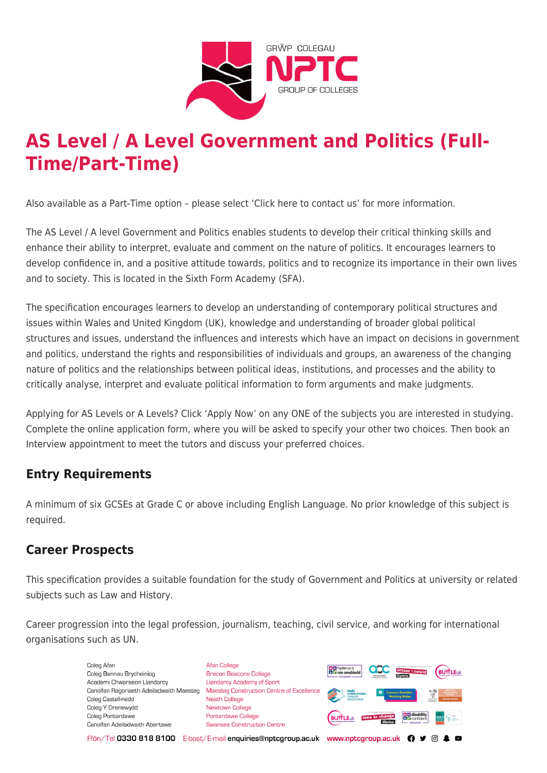

# **AS Level / A Level Government and Politics (Full-Time/Part-Time)**

Also available as a Part-Time option – please select 'Click here to contact us' for more information.

The AS Level / A level Government and Politics enables students to develop their critical thinking skills and enhance their ability to interpret, evaluate and comment on the nature of politics. It encourages learners to develop confidence in, and a positive attitude towards, politics and to recognize its importance in their own lives and to society. This is located in the Sixth Form Academy (SFA).

The specification encourages learners to develop an understanding of contemporary political structures and issues within Wales and United Kingdom (UK), knowledge and understanding of broader global political structures and issues, understand the influences and interests which have an impact on decisions in government and politics, understand the rights and responsibilities of individuals and groups, an awareness of the changing nature of politics and the relationships between political ideas, institutions, and processes and the ability to critically analyse, interpret and evaluate political information to form arguments and make judgments.

Applying for AS Levels or A Levels? Click 'Apply Now' on any ONE of the subjects you are interested in studying. Complete the online application form, where you will be asked to specify your other two choices. Then book an Interview appointment to meet the tutors and discuss your preferred choices.

# **Entry Requirements**

A minimum of six GCSEs at Grade C or above including English Language. No prior knowledge of this subject is required.

# **Career Prospects**

This specification provides a suitable foundation for the study of Government and Politics at university or related subjects such as Law and History.

Career progression into the legal profession, journalism, teaching, civil service, and working for international organisations such as UN.

> Coleg Afar Coleg Bannau Brycheiniog Academi Chwaraeon Llandarcy Canolfan Ragoriaeth Adeiladwaith Maesteg Coleg Castell-nedd Coleg Y Drenewydd Coleg Pontardawe Canolfan Adeiladwaith Abertawe

**Afan College** Brecon Beacons College **Llandarcy Academy of Sport** Maesteg Construction Centre of Excellence Neath College Newtown College Pontardawe College Swansea Construction Centre



Ffôn/Tel 0330 818 8100 E-bost/E-mail enquiries@nptcgroup.ac.uk www.nptcgroup.ac.uk ? • © \$